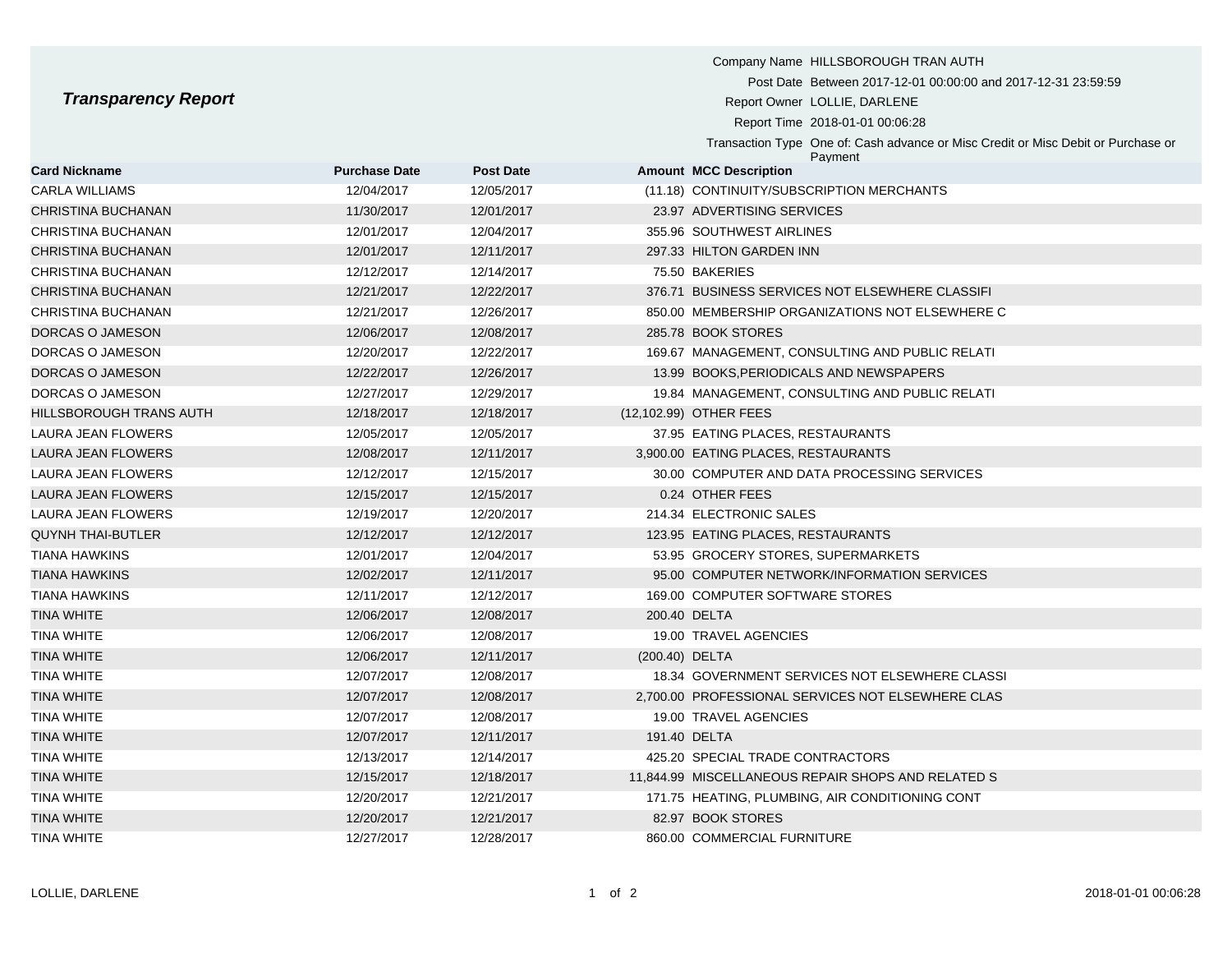## **Transparency Report**

|                                |                      |                  | Company Name HILLSBOROUGH TRAN AUTH                                                          |
|--------------------------------|----------------------|------------------|----------------------------------------------------------------------------------------------|
|                                |                      |                  | Post Date Between 2017-12-01 00:00:00 and 2017-12-31 23:59:59                                |
| <b>Transparency Report</b>     |                      |                  | Report Owner LOLLIE, DARLENE                                                                 |
|                                |                      |                  | Report Time 2018-01-01 00:06:28                                                              |
|                                |                      |                  | Transaction Type One of: Cash advance or Misc Credit or Misc Debit or Purchase or<br>Payment |
| <b>Card Nickname</b>           | <b>Purchase Date</b> | <b>Post Date</b> | <b>Amount MCC Description</b>                                                                |
| CARLA WILLIAMS                 | 12/04/2017           | 12/05/2017       | (11.18) CONTINUITY/SUBSCRIPTION MERCHANTS                                                    |
| CHRISTINA BUCHANAN             | 11/30/2017           | 12/01/2017       | 23.97 ADVERTISING SERVICES                                                                   |
| <b>CHRISTINA BUCHANAN</b>      | 12/01/2017           | 12/04/2017       | 355.96 SOUTHWEST AIRLINES                                                                    |
| CHRISTINA BUCHANAN             | 12/01/2017           | 12/11/2017       | 297.33 HILTON GARDEN INN                                                                     |
| <b>CHRISTINA BUCHANAN</b>      | 12/12/2017           | 12/14/2017       | 75.50 BAKERIES                                                                               |
| CHRISTINA BUCHANAN             | 12/21/2017           | 12/22/2017       | 376.71 BUSINESS SERVICES NOT ELSEWHERE CLASSIFI                                              |
| <b>CHRISTINA BUCHANAN</b>      | 12/21/2017           | 12/26/2017       | 850.00 MEMBERSHIP ORGANIZATIONS NOT ELSEWHERE C                                              |
| DORCAS O JAMESON               | 12/06/2017           | 12/08/2017       | 285.78 BOOK STORES                                                                           |
| DORCAS O JAMESON               | 12/20/2017           | 12/22/2017       | 169.67 MANAGEMENT, CONSULTING AND PUBLIC RELATI                                              |
| DORCAS O JAMESON               | 12/22/2017           | 12/26/2017       | 13.99 BOOKS, PERIODICALS AND NEWSPAPERS                                                      |
| DORCAS O JAMESON               | 12/27/2017           | 12/29/2017       | 19.84 MANAGEMENT, CONSULTING AND PUBLIC RELATI                                               |
| <b>HILLSBOROUGH TRANS AUTH</b> | 12/18/2017           | 12/18/2017       | (12,102.99) OTHER FEES                                                                       |
| <b>LAURA JEAN FLOWERS</b>      | 12/05/2017           | 12/05/2017       | 37.95 EATING PLACES, RESTAURANTS                                                             |
| <b>LAURA JEAN FLOWERS</b>      | 12/08/2017           | 12/11/2017       | 3,900.00 EATING PLACES, RESTAURANTS                                                          |
| <b>LAURA JEAN FLOWERS</b>      | 12/12/2017           | 12/15/2017       | 30.00 COMPUTER AND DATA PROCESSING SERVICES                                                  |
| <b>LAURA JEAN FLOWERS</b>      | 12/15/2017           | 12/15/2017       | 0.24 OTHER FEES                                                                              |
|                                |                      |                  |                                                                                              |

| CHRISTINA BUCHANAN       | 12/01/2017 | 12/04/2017 |                | 355.96 SOUTHWEST AIRLINES                          |
|--------------------------|------------|------------|----------------|----------------------------------------------------|
| CHRISTINA BUCHANAN       | 12/01/2017 | 12/11/2017 |                | 297.33 HILTON GARDEN INN                           |
| CHRISTINA BUCHANAN       | 12/12/2017 | 12/14/2017 |                | 75.50 BAKERIES                                     |
| CHRISTINA BUCHANAN       | 12/21/2017 | 12/22/2017 |                | 376.71 BUSINESS SERVICES NOT ELSEWHERE CLASSIFI    |
| CHRISTINA BUCHANAN       | 12/21/2017 | 12/26/2017 |                | 850.00 MEMBERSHIP ORGANIZATIONS NOT ELSEWHERE C    |
| DORCAS O JAMESON         | 12/06/2017 | 12/08/2017 |                | 285.78 BOOK STORES                                 |
| DORCAS O JAMESON         | 12/20/2017 | 12/22/2017 |                | 169.67 MANAGEMENT, CONSULTING AND PUBLIC RELATI    |
| DORCAS O JAMESON         | 12/22/2017 | 12/26/2017 |                | 13.99 BOOKS, PERIODICALS AND NEWSPAPERS            |
| DORCAS O JAMESON         | 12/27/2017 | 12/29/2017 |                | 19.84 MANAGEMENT, CONSULTING AND PUBLIC RELATI     |
| HILLSBOROUGH TRANS AUTH  | 12/18/2017 | 12/18/2017 |                | (12,102.99) OTHER FEES                             |
| LAURA JEAN FLOWERS       | 12/05/2017 | 12/05/2017 |                | 37.95 EATING PLACES, RESTAURANTS                   |
| LAURA JEAN FLOWERS       | 12/08/2017 | 12/11/2017 |                | 3,900.00 EATING PLACES, RESTAURANTS                |
| LAURA JEAN FLOWERS       | 12/12/2017 | 12/15/2017 |                | 30.00 COMPUTER AND DATA PROCESSING SERVICES        |
| LAURA JEAN FLOWERS       | 12/15/2017 | 12/15/2017 |                | 0.24 OTHER FEES                                    |
| LAURA JEAN FLOWERS       | 12/19/2017 | 12/20/2017 |                | 214.34 ELECTRONIC SALES                            |
| <b>QUYNH THAI-BUTLER</b> | 12/12/2017 | 12/12/2017 |                | 123.95 EATING PLACES, RESTAURANTS                  |
| TIANA HAWKINS            | 12/01/2017 | 12/04/2017 |                | 53.95 GROCERY STORES, SUPERMARKETS                 |
| TIANA HAWKINS            | 12/02/2017 | 12/11/2017 |                | 95.00 COMPUTER NETWORK/INFORMATION SERVICES        |
| TIANA HAWKINS            | 12/11/2017 | 12/12/2017 |                | 169.00 COMPUTER SOFTWARE STORES                    |
| TINA WHITE               | 12/06/2017 | 12/08/2017 |                | 200.40 DELTA                                       |
| TINA WHITE               | 12/06/2017 | 12/08/2017 |                | 19.00 TRAVEL AGENCIES                              |
| TINA WHITE               | 12/06/2017 | 12/11/2017 | (200.40) DELTA |                                                    |
| TINA WHITE               | 12/07/2017 | 12/08/2017 |                | 18.34 GOVERNMENT SERVICES NOT ELSEWHERE CLASSI     |
| TINA WHITE               | 12/07/2017 | 12/08/2017 |                | 2,700.00 PROFESSIONAL SERVICES NOT ELSEWHERE CLAS  |
| TINA WHITE               | 12/07/2017 | 12/08/2017 |                | 19.00 TRAVEL AGENCIES                              |
| TINA WHITE               | 12/07/2017 | 12/11/2017 |                | 191.40 DELTA                                       |
| TINA WHITE               | 12/13/2017 | 12/14/2017 |                | 425.20 SPECIAL TRADE CONTRACTORS                   |
| TINA WHITE               | 12/15/2017 | 12/18/2017 |                | 11,844.99 MISCELLANEOUS REPAIR SHOPS AND RELATED S |
| TINA WHITE               | 12/20/2017 | 12/21/2017 |                | 171.75 HEATING, PLUMBING, AIR CONDITIONING CONT    |
| TINA WHITE               | 12/20/2017 | 12/21/2017 |                | 82.97 BOOK STORES                                  |
| TINA WHITE               | 12/27/2017 | 12/28/2017 |                | 860.00 COMMERCIAL FURNITURE                        |